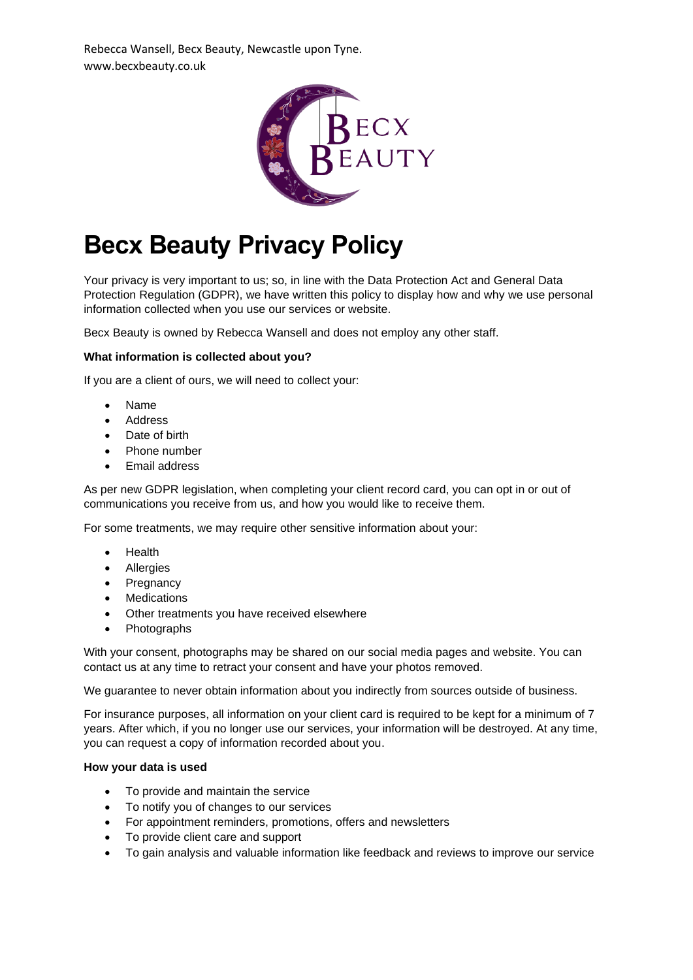Rebecca Wansell, Becx Beauty, Newcastle upon Tyne. www.becxbeauty.co.uk



# **Becx Beauty Privacy Policy**

Your privacy is very important to us; so, in line with the Data Protection Act and General Data Protection Regulation (GDPR), we have written this policy to display how and why we use personal information collected when you use our services or website.

Becx Beauty is owned by Rebecca Wansell and does not employ any other staff.

# **What information is collected about you?**

If you are a client of ours, we will need to collect your:

- Name
- **Address**
- Date of birth
- Phone number
- Email address

As per new GDPR legislation, when completing your client record card, you can opt in or out of communications you receive from us, and how you would like to receive them.

For some treatments, we may require other sensitive information about your:

- **Health**
- Allergies
- Pregnancy
- Medications
- Other treatments you have received elsewhere
- Photographs

With your consent, photographs may be shared on our social media pages and website. You can contact us at any time to retract your consent and have your photos removed.

We guarantee to never obtain information about you indirectly from sources outside of business.

For insurance purposes, all information on your client card is required to be kept for a minimum of 7 years. After which, if you no longer use our services, your information will be destroyed. At any time, you can request a copy of information recorded about you.

### **How your data is used**

- To provide and maintain the service
- To notify you of changes to our services
- For appointment reminders, promotions, offers and newsletters
- To provide client care and support
- To gain analysis and valuable information like feedback and reviews to improve our service